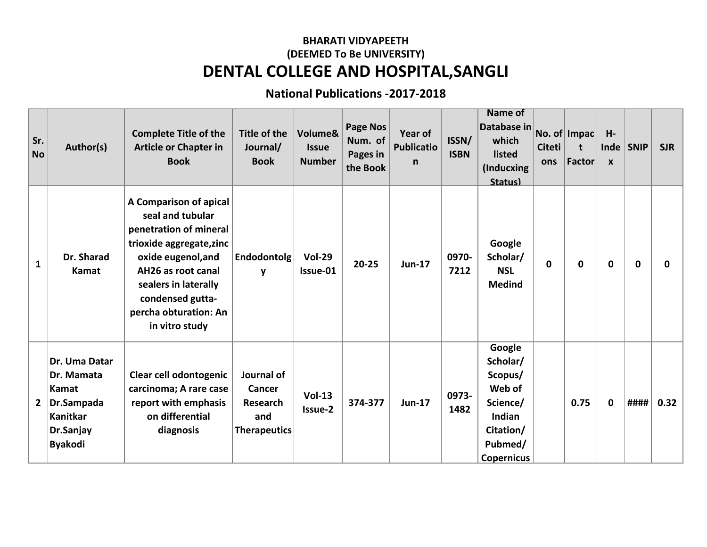## **BHARATI VIDYAPEETH DENTAL COLLEGE AND HOSPITAL,SANGLI (DEEMED To Be UNIVERSITY)**

## **National Publications -2017-2018**

| Sr.<br><b>No</b> | Author(s)                                                                                            | <b>Complete Title of the</b><br><b>Article or Chapter in</b><br><b>Book</b>                                                                                                                                                         | Title of the<br>Journal/<br><b>Book</b>                               | Volume&<br><b>Issue</b><br><b>Number</b> | <b>Page Nos</b><br>Num. of<br>Pages in<br>the Book | Year of<br><b>Publicatio</b><br>n | ISSN/<br><b>ISBN</b> | <b>Name of</b><br>Database in<br>which<br>listed<br>(Inducxing<br><b>Status)</b>                           | <b>Citeti</b><br>ons | No. of Impac<br>$\mathbf t$<br><b>Factor</b> | H-<br>Inde<br>$\mathbf{x}$ | <b>SNIP</b>  | <b>SJR</b> |
|------------------|------------------------------------------------------------------------------------------------------|-------------------------------------------------------------------------------------------------------------------------------------------------------------------------------------------------------------------------------------|-----------------------------------------------------------------------|------------------------------------------|----------------------------------------------------|-----------------------------------|----------------------|------------------------------------------------------------------------------------------------------------|----------------------|----------------------------------------------|----------------------------|--------------|------------|
| $\mathbf{1}$     | Dr. Sharad<br>Kamat                                                                                  | A Comparison of apical<br>seal and tubular<br>penetration of mineral<br>trioxide aggregate, zinc<br>oxide eugenol, and<br>AH26 as root canal<br>sealers in laterally<br>condensed gutta-<br>percha obturation: An<br>in vitro study | Endodontolg<br>$\mathbf{v}$                                           | <b>Vol-29</b><br>Issue-01                | $20 - 25$                                          | <b>Jun-17</b>                     | 0970-<br>7212        | Google<br>Scholar/<br><b>NSL</b><br><b>Medind</b>                                                          | $\mathbf 0$          | 0                                            | $\mathbf 0$                | $\mathbf{0}$ | 0          |
| $\mathbf{2}$     | Dr. Uma Datar<br>Dr. Mamata<br>Kamat<br>Dr.Sampada<br><b>Kanitkar</b><br>Dr.Sanjay<br><b>Byakodi</b> | Clear cell odontogenic<br>carcinoma; A rare case<br>report with emphasis<br>on differential<br>diagnosis                                                                                                                            | Journal of<br>Cancer<br><b>Research</b><br>and<br><b>Therapeutics</b> | $Vol-13$<br>Issue-2                      | 374-377                                            | <b>Jun-17</b>                     | 0973-<br>1482        | Google<br>Scholar/<br>Scopus/<br>Web of<br>Science/<br>Indian<br>Citation/<br>Pubmed/<br><b>Copernicus</b> |                      | 0.75                                         | $\mathbf 0$                | ####         | 0.32       |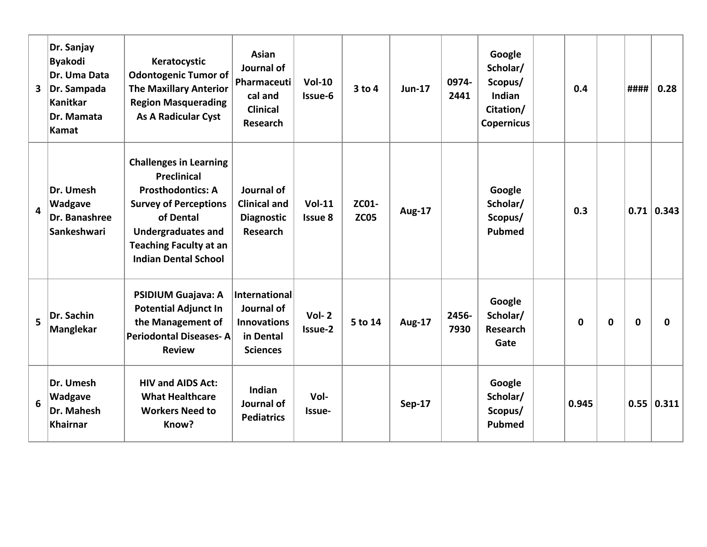| 3                       | Dr. Sanjay<br><b>Byakodi</b><br>Dr. Uma Data<br>Dr. Sampada<br><b>Kanitkar</b><br>Dr. Mamata<br>Kamat | Keratocystic<br><b>Odontogenic Tumor of</b><br><b>The Maxillary Anterior</b><br><b>Region Masquerading</b><br><b>As A Radicular Cyst</b>                                                                                  | <b>Asian</b><br>Journal of<br>Pharmaceuti<br>cal and<br><b>Clinical</b><br>Research      | $Vol-10$<br>Issue-6        | $3$ to $4$           | <b>Jun-17</b> | 0974-<br>2441 | Google<br>Scholar/<br>Scopus/<br><b>Indian</b><br>Citation/<br><b>Copernicus</b> | 0.4          |             | ####        | 0.28              |
|-------------------------|-------------------------------------------------------------------------------------------------------|---------------------------------------------------------------------------------------------------------------------------------------------------------------------------------------------------------------------------|------------------------------------------------------------------------------------------|----------------------------|----------------------|---------------|---------------|----------------------------------------------------------------------------------|--------------|-------------|-------------|-------------------|
| $\overline{\mathbf{4}}$ | Dr. Umesh<br>Wadgave<br>Dr. Banashree<br>Sankeshwari                                                  | <b>Challenges in Learning</b><br><b>Preclinical</b><br><b>Prosthodontics: A</b><br><b>Survey of Perceptions</b><br>of Dental<br><b>Undergraduates and</b><br><b>Teaching Faculty at an</b><br><b>Indian Dental School</b> | Journal of<br><b>Clinical and</b><br><b>Diagnostic</b><br><b>Research</b>                | $Vol-11$<br><b>Issue 8</b> | ZC01-<br><b>ZC05</b> | <b>Aug-17</b> |               | Google<br>Scholar/<br>Scopus/<br><b>Pubmed</b>                                   | 0.3          |             |             | $0.71 \mid 0.343$ |
| 5                       | Dr. Sachin<br><b>Manglekar</b>                                                                        | PSIDIUM Guajava: A<br><b>Potential Adjunct In</b><br>the Management of<br><b>Periodontal Diseases-A</b><br><b>Review</b>                                                                                                  | <b>International</b><br>Journal of<br><b>Innovations</b><br>in Dental<br><b>Sciences</b> | $Vol-2$<br>Issue-2         | 5 to 14              | <b>Aug-17</b> | 2456-<br>7930 | Google<br>Scholar/<br><b>Research</b><br>Gate                                    | $\mathbf{0}$ | $\mathbf 0$ | $\mathbf 0$ | $\mathbf{0}$      |
| 6                       | Dr. Umesh<br>Wadgave<br>Dr. Mahesh<br><b>Khairnar</b>                                                 | <b>HIV and AIDS Act:</b><br><b>What Healthcare</b><br><b>Workers Need to</b><br>Know?                                                                                                                                     | <b>Indian</b><br>Journal of<br><b>Pediatrics</b>                                         | Vol-<br>Issue-             |                      | <b>Sep-17</b> |               | Google<br>Scholar/<br>Scopus/<br><b>Pubmed</b>                                   | 0.945        |             |             | 0.55   0.311      |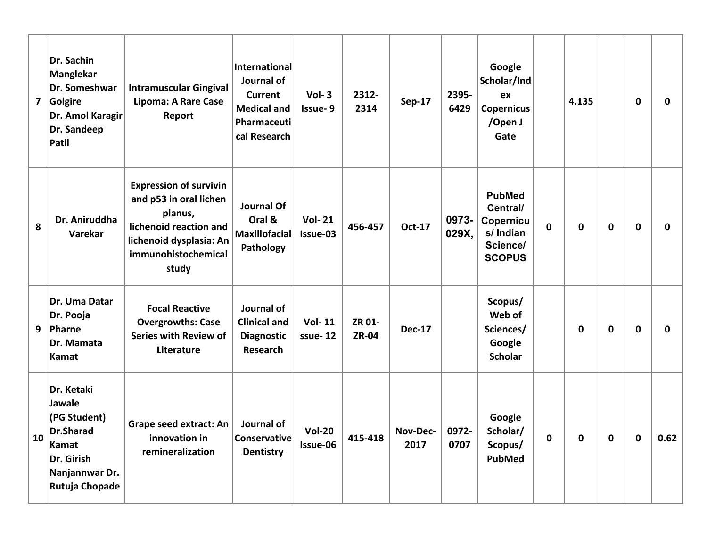|    | Dr. Sachin<br><b>Manglekar</b><br>Dr. Someshwar<br>7 Golgire<br>Dr. Amol Karagir<br>Dr. Sandeep<br>Patil            | <b>Intramuscular Gingival</b><br><b>Lipoma: A Rare Case</b><br>Report                                                                                   | International<br>Journal of<br><b>Current</b><br><b>Medical and</b><br>Pharmaceuti<br>cal Research | $Vol-3$<br>Issue-9        | 2312-<br>2314          | <b>Sep-17</b>    | 2395-<br>6429  | Google<br>Scholar/Ind<br>ex<br><b>Copernicus</b><br>/Open J<br>Gate              |             | 4.135 |             | $\mathbf 0$ | 0    |
|----|---------------------------------------------------------------------------------------------------------------------|---------------------------------------------------------------------------------------------------------------------------------------------------------|----------------------------------------------------------------------------------------------------|---------------------------|------------------------|------------------|----------------|----------------------------------------------------------------------------------|-------------|-------|-------------|-------------|------|
| 8  | Dr. Aniruddha<br>Varekar                                                                                            | <b>Expression of survivin</b><br>and p53 in oral lichen<br>planus,<br>lichenoid reaction and<br>lichenoid dysplasia: An<br>immunohistochemical<br>study | <b>Journal Of</b><br>Oral &<br><b>Maxillofacial</b><br>Pathology                                   | <b>Vol-21</b><br>Issue-03 | 456-457                | <b>Oct-17</b>    | 0973-<br>029X, | <b>PubMed</b><br>Central/<br>Copernicu<br>s/ Indian<br>Science/<br><b>SCOPUS</b> | $\mathbf 0$ | 0     | $\mathbf 0$ | $\mathbf 0$ | 0    |
|    | Dr. Uma Datar<br>Dr. Pooja<br>$9$   Pharne<br>Dr. Mamata<br>Kamat                                                   | <b>Focal Reactive</b><br><b>Overgrowths: Case</b><br>Series with Review of<br>Literature                                                                | Journal of<br><b>Clinical and</b><br><b>Diagnostic</b><br><b>Research</b>                          | <b>Vol-11</b><br>ssue-12  | ZR 01-<br><b>ZR-04</b> | <b>Dec-17</b>    |                | Scopus/<br>Web of<br>Sciences/<br>Google<br><b>Scholar</b>                       |             | 0     | $\mathbf 0$ | $\mathbf 0$ | 0    |
| 10 | Dr. Ketaki<br>Jawale<br>(PG Student)<br><b>Dr.Sharad</b><br>Kamat<br>Dr. Girish<br>Nanjannwar Dr.<br>Rutuja Chopade | Grape seed extract: An<br>innovation in<br>remineralization                                                                                             | Journal of<br>Conservative<br><b>Dentistry</b>                                                     | <b>Vol-20</b><br>Issue-06 | 415-418                | Nov-Dec-<br>2017 | 0972-<br>0707  | Google<br>Scholar/<br>Scopus/<br>PubMed                                          | 0           | 0     | 0           | 0           | 0.62 |